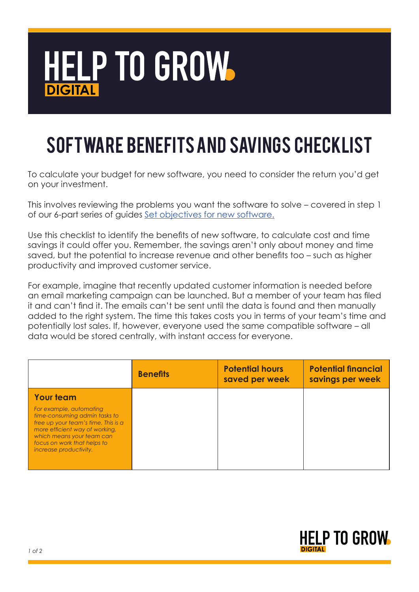

## SOFTWARE Benefits and savings checklist

To calculate your budget for new software, you need to consider the return you'd get on your investment.

This involves reviewing the problems you want the software to solve – covered in step 1 of our 6-part series of guides [Set objectives for new software.](https://www.learn-to-grow-your-business.service.gov.uk/buy-software-with-confidence)

Use this checklist to identify the benefits of new software, to calculate cost and time savings it could offer you. Remember, the savings aren't only about money and time saved, but the potential to increase revenue and other benefits too – such as higher productivity and improved customer service.

For example, imagine that recently updated customer information is needed before an email marketing campaign can be launched. But a member of your team has filed it and can't find it. The emails can't be sent until the data is found and then manually added to the right system. The time this takes costs you in terms of your team's time and potentially lost sales. If, however, everyone used the same compatible software – all data would be stored centrally, with instant access for everyone.

|                                                                                                                                                                                                                         | <b>Benefits</b> | <b>Potential hours</b><br>saved per week | <b>Potential financial</b><br>savings per week |
|-------------------------------------------------------------------------------------------------------------------------------------------------------------------------------------------------------------------------|-----------------|------------------------------------------|------------------------------------------------|
| <b>Your team</b>                                                                                                                                                                                                        |                 |                                          |                                                |
| For example, automating<br>time-consuming admin tasks to<br>free up your team's time. This is a<br>more efficient way of working,<br>which means your team can<br>focus on work that helps to<br>increase productivity. |                 |                                          |                                                |